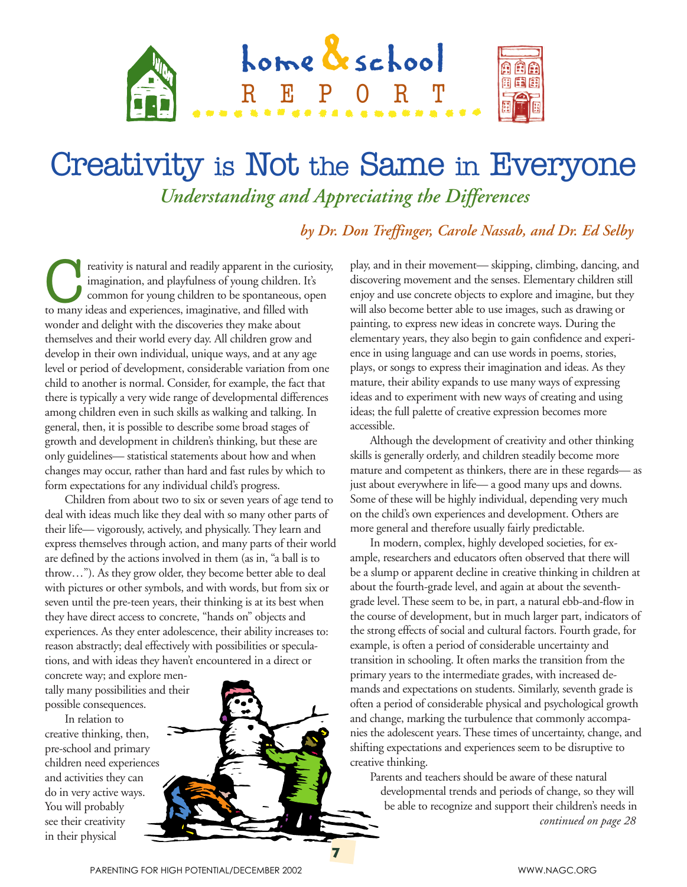

## Creativity is Not the Same in Everyone *Understanding and Appreciating the Differences*

## *by Dr. Don Treffinger, Carole Nassab, and Dr. Ed Selby*

**Coreativity** is natural and readily apparent in the curiosity, imagination, and playfulness of young children. It's common for young children to be spontaneous, open to many ideas and experiences, imaginative, and filled imagination, and playfulness of young children. It's common for young children to be spontaneous, open wonder and delight with the discoveries they make about themselves and their world every day. All children grow and develop in their own individual, unique ways, and at any age level or period of development, considerable variation from one child to another is normal. Consider, for example, the fact that there is typically a very wide range of developmental differences among children even in such skills as walking and talking. In general, then, it is possible to describe some broad stages of growth and development in children's thinking, but these are only guidelines— statistical statements about how and when changes may occur, rather than hard and fast rules by which to form expectations for any individual child's progress.

Children from about two to six or seven years of age tend to deal with ideas much like they deal with so many other parts of their life— vigorously, actively, and physically. They learn and express themselves through action, and many parts of their world are defined by the actions involved in them (as in, "a ball is to throw…"). As they grow older, they become better able to deal with pictures or other symbols, and with words, but from six or seven until the pre-teen years, their thinking is at its best when they have direct access to concrete, "hands on" objects and experiences. As they enter adolescence, their ability increases to: reason abstractly; deal effectively with possibilities or speculations, and with ideas they haven't encountered in a direct or

concrete way; and explore mentally many possibilities and their possible consequences.

In relation to creative thinking, then, pre-school and primary children need experiences and activities they can do in very active ways. You will probably see their creativity in their physical



play, and in their movement— skipping, climbing, dancing, and discovering movement and the senses. Elementary children still enjoy and use concrete objects to explore and imagine, but they will also become better able to use images, such as drawing or painting, to express new ideas in concrete ways. During the elementary years, they also begin to gain confidence and experience in using language and can use words in poems, stories, plays, or songs to express their imagination and ideas. As they mature, their ability expands to use many ways of expressing ideas and to experiment with new ways of creating and using ideas; the full palette of creative expression becomes more accessible.

Although the development of creativity and other thinking skills is generally orderly, and children steadily become more mature and competent as thinkers, there are in these regards— as just about everywhere in life— a good many ups and downs. Some of these will be highly individual, depending very much on the child's own experiences and development. Others are more general and therefore usually fairly predictable.

In modern, complex, highly developed societies, for example, researchers and educators often observed that there will be a slump or apparent decline in creative thinking in children at about the fourth-grade level, and again at about the seventhgrade level. These seem to be, in part, a natural ebb-and-flow in the course of development, but in much larger part, indicators of the strong effects of social and cultural factors. Fourth grade, for example, is often a period of considerable uncertainty and transition in schooling. It often marks the transition from the primary years to the intermediate grades, with increased demands and expectations on students. Similarly, seventh grade is often a period of considerable physical and psychological growth and change, marking the turbulence that commonly accompanies the adolescent years. These times of uncertainty, change, and shifting expectations and experiences seem to be disruptive to creative thinking.

Parents and teachers should be aware of these natural developmental trends and periods of change, so they will be able to recognize and support their children's needs in  *continued on page 28*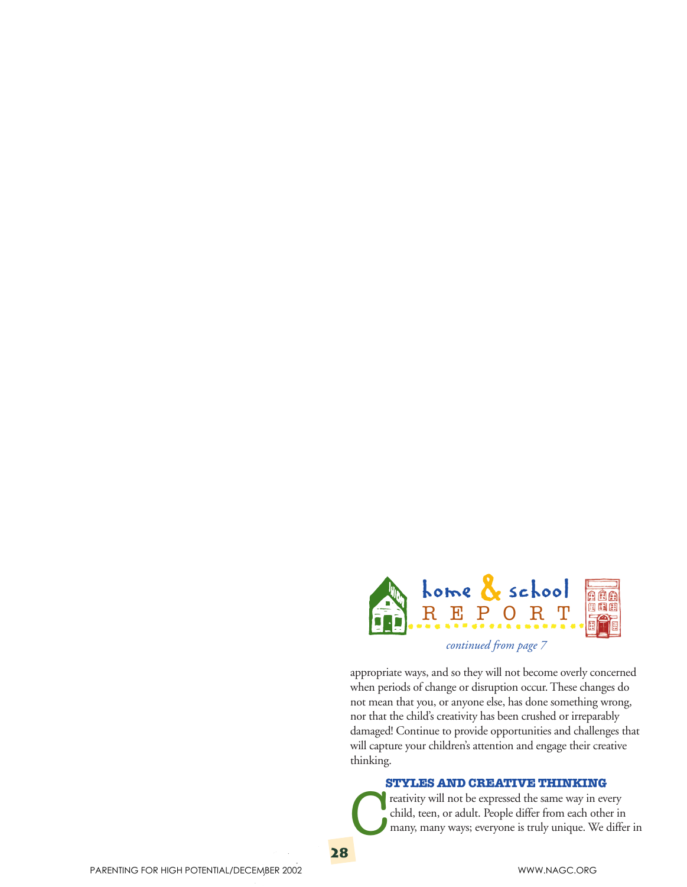

*continued from page 7*

appropriate ways, and so they will not become overly concerned when periods of change or disruption occur. These changes do not mean that you, or anyone else, has done something wrong, nor that the child's creativity has been crushed or irreparably damaged! Continue to provide opportunities and challenges that will capture your children's attention and engage their creative thinking.

## **STYLES AND CREATIVE THINKING**

reativity will not be expressed the same way in every child, teen, or adult. People differ from each other in many, many ways; everyone is truly unique. We differ in

**28**